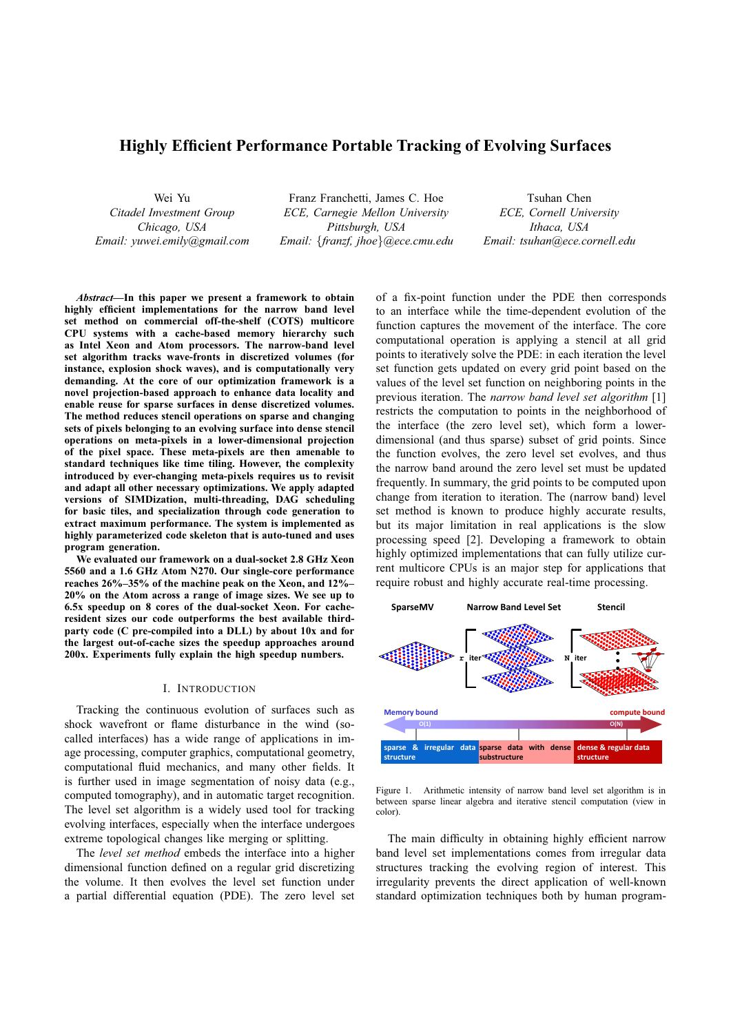# **Highly Efficient Performance Portable Tracking of Evolving Surfaces**

Wei Yu *Citadel Investment Group Chicago, USA Email: yuwei.emily@gmail.com*

Franz Franchetti, James C. Hoe *ECE, Carnegie Mellon University Pittsburgh, USA Email:* {*franzf, jhoe*}*@ece.cmu.edu*

Tsuhan Chen *ECE, Cornell University Ithaca, USA Email: tsuhan@ece.cornell.edu*

*Abstract***—In this paper we present a framework to obtain highly efficient implementations for the narrow band level set method on commercial off-the-shelf (COTS) multicore CPU systems with a cache-based memory hierarchy such as Intel Xeon and Atom processors. The narrow-band level set algorithm tracks wave-fronts in discretized volumes (for instance, explosion shock waves), and is computationally very demanding. At the core of our optimization framework is a novel projection-based approach to enhance data locality and enable reuse for sparse surfaces in dense discretized volumes. The method reduces stencil operations on sparse and changing sets of pixels belonging to an evolving surface into dense stencil operations on meta-pixels in a lower-dimensional projection of the pixel space. These meta-pixels are then amenable to standard techniques like time tiling. However, the complexity introduced by ever-changing meta-pixels requires us to revisit and adapt all other necessary optimizations. We apply adapted versions of SIMDization, multi-threading, DAG scheduling for basic tiles, and specialization through code generation to extract maximum performance. The system is implemented as highly parameterized code skeleton that is auto-tuned and uses program generation.**

**We evaluated our framework on a dual-socket 2.8 GHz Xeon 5560 and a 1.6 GHz Atom N270. Our single-core performance reaches 26%–35% of the machine peak on the Xeon, and 12%– 20% on the Atom across a range of image sizes. We see up to 6.5x speedup on 8 cores of the dual-socket Xeon. For cacheresident sizes our code outperforms the best available thirdparty code (C pre-compiled into a DLL) by about 10x and for the largest out-of-cache sizes the speedup approaches around 200x. Experiments fully explain the high speedup numbers.**

### I. INTRODUCTION

Tracking the continuous evolution of surfaces such as shock wavefront or flame disturbance in the wind (socalled interfaces) has a wide range of applications in image processing, computer graphics, computational geometry, computational fluid mechanics, and many other fields. It is further used in image segmentation of noisy data (e.g., computed tomography), and in automatic target recognition. The level set algorithm is a widely used tool for tracking evolving interfaces, especially when the interface undergoes extreme topological changes like merging or splitting.

The *level set method* embeds the interface into a higher dimensional function defined on a regular grid discretizing the volume. It then evolves the level set function under a partial differential equation (PDE). The zero level set

of a fix-point function under the PDE then corresponds to an interface while the time-dependent evolution of the function captures the movement of the interface. The core computational operation is applying a stencil at all grid points to iteratively solve the PDE: in each iteration the level set function gets updated on every grid point based on the values of the level set function on neighboring points in the previous iteration. The *narrow band level set algorithm* [1] restricts the computation to points in the neighborhood of the interface (the zero level set), which form a lowerdimensional (and thus sparse) subset of grid points. Since the function evolves, the zero level set evolves, and thus the narrow band around the zero level set must be updated frequently. In summary, the grid points to be computed upon change from iteration to iteration. The (narrow band) level set method is known to produce highly accurate results, but its major limitation in real applications is the slow processing speed [2]. Developing a framework to obtain highly optimized implementations that can fully utilize current multicore CPUs is an major step for applications that require robust and highly accurate real-time processing.



Figure 1. Arithmetic intensity of narrow band level set algorithm is in between sparse linear algebra and iterative stencil computation (view in color).

The main difficulty in obtaining highly efficient narrow band level set implementations comes from irregular data structures tracking the evolving region of interest. This irregularity prevents the direct application of well-known standard optimization techniques both by human program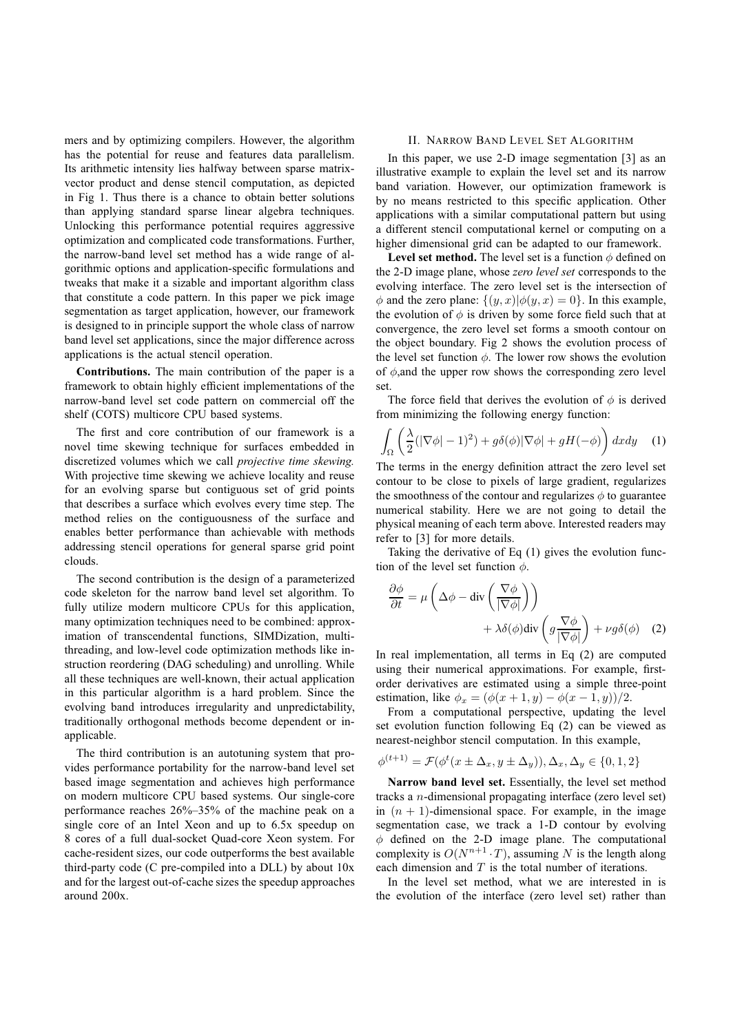mers and by optimizing compilers. However, the algorithm has the potential for reuse and features data parallelism. Its arithmetic intensity lies halfway between sparse matrixvector product and dense stencil computation, as depicted in Fig 1. Thus there is a chance to obtain better solutions than applying standard sparse linear algebra techniques. Unlocking this performance potential requires aggressive optimization and complicated code transformations. Further, the narrow-band level set method has a wide range of algorithmic options and application-specific formulations and tweaks that make it a sizable and important algorithm class that constitute a code pattern. In this paper we pick image segmentation as target application, however, our framework is designed to in principle support the whole class of narrow band level set applications, since the major difference across applications is the actual stencil operation.

**Contributions.** The main contribution of the paper is a framework to obtain highly efficient implementations of the narrow-band level set code pattern on commercial off the shelf (COTS) multicore CPU based systems.

The first and core contribution of our framework is a novel time skewing technique for surfaces embedded in discretized volumes which we call *projective time skewing.* With projective time skewing we achieve locality and reuse for an evolving sparse but contiguous set of grid points that describes a surface which evolves every time step. The method relies on the contiguousness of the surface and enables better performance than achievable with methods addressing stencil operations for general sparse grid point clouds.

The second contribution is the design of a parameterized code skeleton for the narrow band level set algorithm. To fully utilize modern multicore CPUs for this application, many optimization techniques need to be combined: approximation of transcendental functions, SIMDization, multithreading, and low-level code optimization methods like instruction reordering (DAG scheduling) and unrolling. While all these techniques are well-known, their actual application in this particular algorithm is a hard problem. Since the evolving band introduces irregularity and unpredictability, traditionally orthogonal methods become dependent or inapplicable.

The third contribution is an autotuning system that provides performance portability for the narrow-band level set based image segmentation and achieves high performance on modern multicore CPU based systems. Our single-core performance reaches 26%–35% of the machine peak on a single core of an Intel Xeon and up to 6.5x speedup on 8 cores of a full dual-socket Quad-core Xeon system. For cache-resident sizes, our code outperforms the best available third-party code (C pre-compiled into a DLL) by about 10x and for the largest out-of-cache sizes the speedup approaches around 200x.

### II. NARROW BAND LEVEL SET ALGORITHM

In this paper, we use 2-D image segmentation [3] as an illustrative example to explain the level set and its narrow band variation. However, our optimization framework is by no means restricted to this specific application. Other applications with a similar computational pattern but using a different stencil computational kernel or computing on a higher dimensional grid can be adapted to our framework.

**Level set method.** The level set is a function  $\phi$  defined on the 2-D image plane, whose *zero level set* corresponds to the evolving interface. The zero level set is the intersection of  $\phi$  and the zero plane:  $\{(y, x)|\phi(y, x)=0\}$ . In this example, the evolution of  $\phi$  is driven by some force field such that at convergence, the zero level set forms a smooth contour on the object boundary. Fig 2 shows the evolution process of the level set function  $\phi$ . The lower row shows the evolution of  $\phi$ , and the upper row shows the corresponding zero level set.

The force field that derives the evolution of  $\phi$  is derived from minimizing the following energy function:

$$
\int_{\Omega} \left( \frac{\lambda}{2} (|\nabla \phi| - 1)^2) + g \delta(\phi) |\nabla \phi| + gH(-\phi) \right) dx dy \quad (1)
$$

The terms in the energy definition attract the zero level set contour to be close to pixels of large gradient, regularizes the smoothness of the contour and regularizes  $\phi$  to guarantee numerical stability. Here we are not going to detail the physical meaning of each term above. Interested readers may refer to [3] for more details.

Taking the derivative of Eq (1) gives the evolution function of the level set function  $\phi$ .

$$
\frac{\partial \phi}{\partial t} = \mu \left( \Delta \phi - \text{div} \left( \frac{\nabla \phi}{|\nabla \phi|} \right) \right) \n+ \lambda \delta(\phi) \text{div} \left( g \frac{\nabla \phi}{|\nabla \phi|} \right) + \nu g \delta(\phi) \quad (2)
$$

In real implementation, all terms in Eq (2) are computed using their numerical approximations. For example, firstorder derivatives are estimated using a simple three-point estimation, like  $\phi_x = (\phi(x + 1, y) - \phi(x - 1, y))/2$ .

From a computational perspective, updating the level set evolution function following Eq (2) can be viewed as nearest-neighbor stencil computation. In this example,

$$
\phi^{(t+1)} = \mathcal{F}(\phi^t(x \pm \Delta_x, y \pm \Delta_y)), \Delta_x, \Delta_y \in \{0, 1, 2\}
$$

**Narrow band level set.** Essentially, the level set method tracks a n-dimensional propagating interface (zero level set) in  $(n + 1)$ -dimensional space. For example, in the image segmentation case, we track a 1-D contour by evolving  $\phi$  defined on the 2-D image plane. The computational complexity is  $O(N^{n+1} \cdot T)$ , assuming N is the length along each dimension and  $T$  is the total number of iterations.

In the level set method, what we are interested in is the evolution of the interface (zero level set) rather than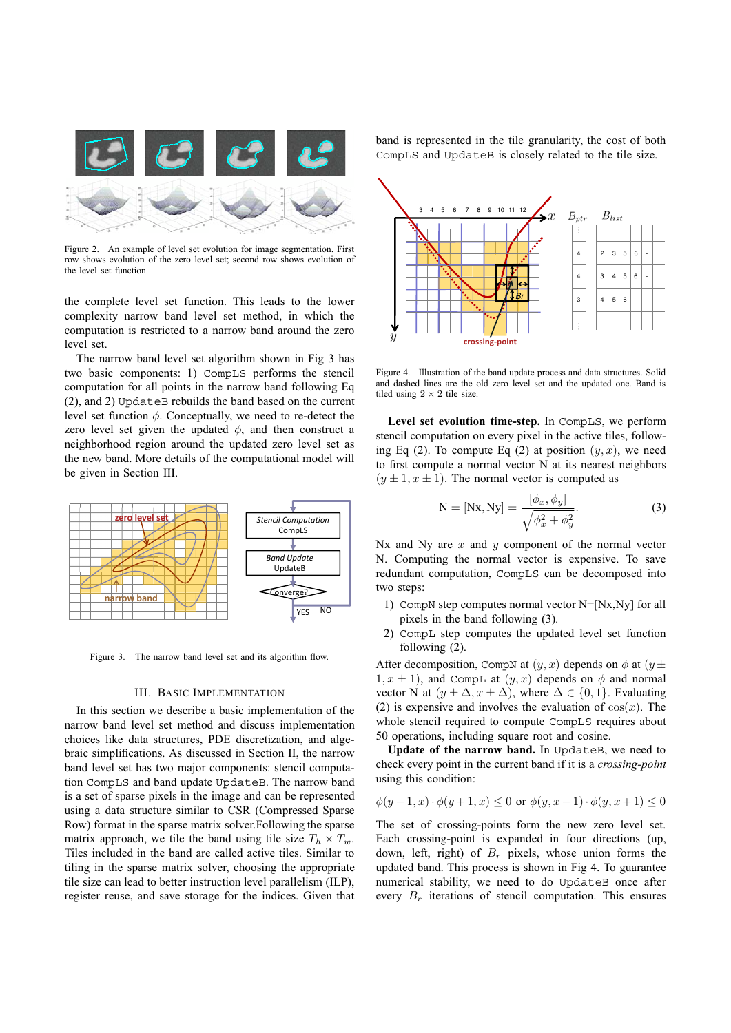

Figure 2. An example of level set evolution for image segmentation. First row shows evolution of the zero level set; second row shows evolution of the level set function.

the complete level set function. This leads to the lower complexity narrow band level set method, in which the computation is restricted to a narrow band around the zero level set.

The narrow band level set algorithm shown in Fig 3 has two basic components: 1) CompLS performs the stencil computation for all points in the narrow band following Eq (2), and 2) UpdateB rebuilds the band based on the current level set function  $\phi$ . Conceptually, we need to re-detect the zero level set given the updated  $\phi$ , and then construct a neighborhood region around the updated zero level set as the new band. More details of the computational model will be given in Section III.



Figure 3. The narrow band level set and its algorithm flow.

# III. BASIC IMPLEMENTATION

In this section we describe a basic implementation of the narrow band level set method and discuss implementation choices like data structures, PDE discretization, and algebraic simplifications. As discussed in Section II, the narrow band level set has two major components: stencil computation CompLS and band update UpdateB. The narrow band is a set of sparse pixels in the image and can be represented using a data structure similar to CSR (Compressed Sparse Row) format in the sparse matrix solver.Following the sparse matrix approach, we tile the band using tile size  $T_h \times T_w$ . Tiles included in the band are called active tiles. Similar to tiling in the sparse matrix solver, choosing the appropriate tile size can lead to better instruction level parallelism (ILP), register reuse, and save storage for the indices. Given that

band is represented in the tile granularity, the cost of both CompLS and UpdateB is closely related to the tile size.



Figure 4. Illustration of the band update process and data structures. Solid and dashed lines are the old zero level set and the updated one. Band is tiled using  $2 \times 2$  tile size.

**Level set evolution time-step.** In CompLS, we perform stencil computation on every pixel in the active tiles, following Eq (2). To compute Eq (2) at position  $(y, x)$ , we need to first compute a normal vector N at its nearest neighbors  $(y \pm 1, x \pm 1)$ . The normal vector is computed as

$$
N = [Nx, Ny] = \frac{[\phi_x, \phi_y]}{\sqrt{\phi_x^2 + \phi_y^2}}.
$$
\n(3)

Nx and Ny are  $x$  and  $y$  component of the normal vector N. Computing the normal vector is expensive. To save redundant computation, CompLS can be decomposed into two steps:

- 1) CompN step computes normal vector  $N=[Nx,Ny]$  for all pixels in the band following (3).
- 2) CompL step computes the updated level set function following (2).

After decomposition, CompN at  $(y, x)$  depends on  $\phi$  at  $(y \pm \phi)$  $1, x \pm 1$ , and CompL at  $(y, x)$  depends on  $\phi$  and normal vector N at  $(y \pm \Delta, x \pm \Delta)$ , where  $\Delta \in \{0, 1\}$ . Evaluating (2) is expensive and involves the evaluation of  $cos(x)$ . The whole stencil required to compute CompLS requires about 50 operations, including square root and cosine.

**Update of the narrow band.** In UpdateB, we need to check every point in the current band if it is a *crossing-point* using this condition:

$$
\phi(y-1,x)\cdot\phi(y+1,x)\leq 0 \text{ or } \phi(y,x-1)\cdot\phi(y,x+1)\leq 0
$$

The set of crossing-points form the new zero level set. Each crossing-point is expanded in four directions (up, down, left, right) of  $B_r$  pixels, whose union forms the updated band. This process is shown in Fig 4. To guarantee numerical stability, we need to do UpdateB once after every  $B<sub>r</sub>$  iterations of stencil computation. This ensures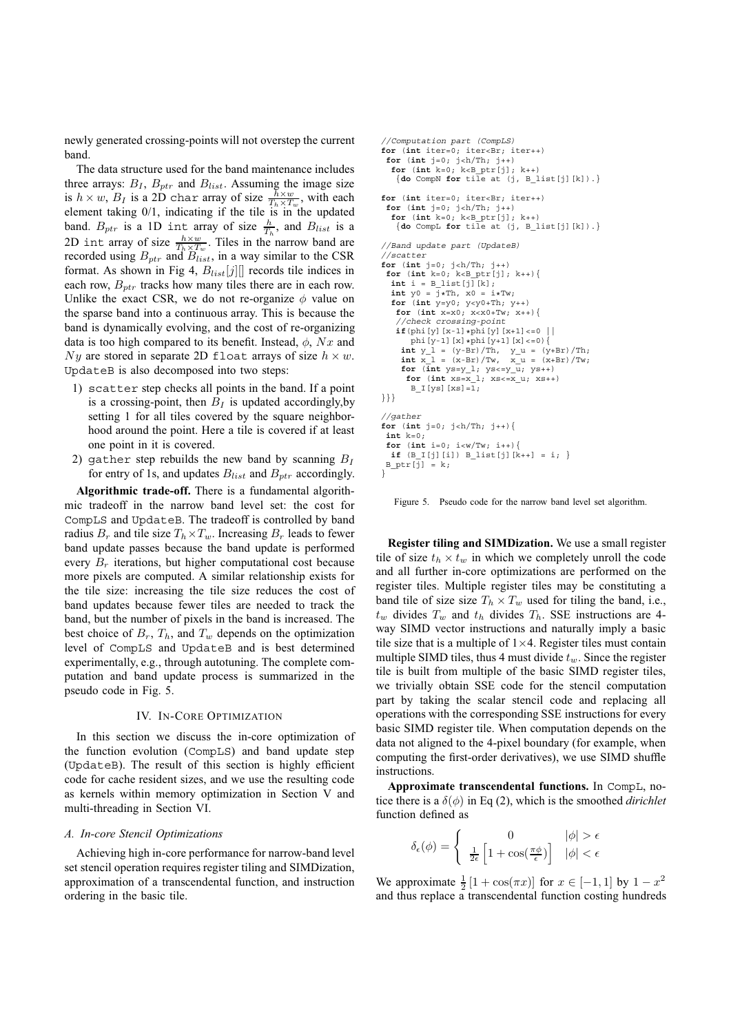newly generated crossing-points will not overstep the current band.

The data structure used for the band maintenance includes three arrays:  $B_I$ ,  $B_{ptr}$  and  $B_{list}$ . Assuming the image size is  $h \times w$ ,  $B_I$  is a 2D char array of size  $\frac{h \times w}{T_h \times T_w}$ , with each element taking 0/1, indicating if the tile is in the updated band.  $B_{ptr}$  is a 1D int array of size  $\frac{h}{T_h}$ , and  $B_{list}$  is a 2D int array of size  $\frac{h \times w}{T_h \times T_w}$ . Tiles in the narrow band are recorded using  $B_{ptr}$  and  $B_{list}$ , in a way similar to the CSR format. As shown in Fig 4,  $B_{list}[j]]$  records tile indices in each row,  $B_{ntr}$  tracks how many tiles there are in each row. Unlike the exact CSR, we do not re-organize  $\phi$  value on the sparse band into a continuous array. This is because the band is dynamically evolving, and the cost of re-organizing data is too high compared to its benefit. Instead,  $\phi$ , Nx and Ny are stored in separate 2D float arrays of size  $h \times w$ . UpdateB is also decomposed into two steps:

- 1) scatter step checks all points in the band. If a point is a crossing-point, then  $B_I$  is updated accordingly, by setting 1 for all tiles covered by the square neighborhood around the point. Here a tile is covered if at least one point in it is covered.
- 2) gather step rebuilds the new band by scanning  $B_I$ for entry of 1s, and updates  $B_{list}$  and  $B_{ptr}$  accordingly.

**Algorithmic trade-off.** There is a fundamental algorithmic tradeoff in the narrow band level set: the cost for CompLS and UpdateB. The tradeoff is controlled by band radius  $B_r$  and tile size  $T_h \times T_w$ . Increasing  $B_r$  leads to fewer band update passes because the band update is performed every  $B_r$  iterations, but higher computational cost because more pixels are computed. A similar relationship exists for the tile size: increasing the tile size reduces the cost of band updates because fewer tiles are needed to track the band, but the number of pixels in the band is increased. The best choice of  $B_r$ ,  $T_h$ , and  $T_w$  depends on the optimization level of CompLS and UpdateB and is best determined experimentally, e.g., through autotuning. The complete computation and band update process is summarized in the pseudo code in Fig. 5.

# IV. IN-CORE OPTIMIZATION

In this section we discuss the in-core optimization of the function evolution (CompLS) and band update step (UpdateB). The result of this section is highly efficient code for cache resident sizes, and we use the resulting code as kernels within memory optimization in Section V and multi-threading in Section VI.

# *A. In-core Stencil Optimizations*

Achieving high in-core performance for narrow-band level set stencil operation requires register tiling and SIMDization. approximation of a transcendental function, and instruction ordering in the basic tile.

```
//Computation part (CompLS)
for (int iter=0; iter<Br; iter++)
 for (int j=0; j<h/Th; j++)<br>for (int k=0; k<B ptr[j]; k++){do CompN for tile at (j, B_list[j][k]).}
for (int iter=0; iter<Br; iter++)
 for (int j=0; j<h/Th; j++)<br>for (int k=0; k<B_ptr[j]; k++){do CompL for tile at (j, B_list[j][k]).}
//Band update part (UpdateB)
//scatter
for (int j=0; j<h/Th; j++)
 for (int k=0; k<B_ptr[j]; k++){
  int i = B list[i][k];
   int y0 = \overline{j} * Th, x0 = i * Tw;<br>for (int y=y0; y < y0 + Th; y++)
    for (int x=x0; x<x0+Tw; x++){
    //check crossing-point
    if(phi[y][x-1]*phi[y][x+1]<=0 ||
       phi[y-1][x] *phi[y+1][x] <=0){
     int y_l = (y - Br) / Th, y_u = (y + Br) / Th;<br>
int x_l = (x - Br) / Tw, x_u = (x + Br) / Tw;
     for (\overline{\text{int}} ys=y_l; ys<=y_u; ys++)<br>
for (\text{int} xs=x_l; xs<=x_u; xs++)
        B I[ys][xs]=\overline{1};
}}}
//gather
for (int j=0; j<h/Th; j++)}
 int k=0;
 for (int i = 0; i < w/Tw; i++)if (B I[j][i]) B_list[j][k++] = i; }
 B_{\perp}ptr[\overline{j}] = k;
```
}

Figure 5. Pseudo code for the narrow band level set algorithm.

**Register tiling and SIMDization.** We use a small register tile of size  $t_h \times t_w$  in which we completely unroll the code and all further in-core optimizations are performed on the register tiles. Multiple register tiles may be constituting a band tile of size size  $T_h \times T_w$  used for tiling the band, i.e.,  $t_w$  divides  $T_w$  and  $t_h$  divides  $T_h$ . SSE instructions are 4way SIMD vector instructions and naturally imply a basic tile size that is a multiple of  $1\times 4$ . Register tiles must contain multiple SIMD tiles, thus 4 must divide  $t_w$ . Since the register tile is built from multiple of the basic SIMD register tiles, we trivially obtain SSE code for the stencil computation part by taking the scalar stencil code and replacing all operations with the corresponding SSE instructions for every basic SIMD register tile. When computation depends on the data not aligned to the 4-pixel boundary (for example, when computing the first-order derivatives), we use SIMD shuffle instructions.

**Approximate transcendental functions.** In CompL, notice there is a  $\delta(\phi)$  in Eq (2), which is the smoothed *dirichlet* function defined as

$$
\delta_{\epsilon}(\phi) = \begin{cases}\n0 & |\phi| > \epsilon \\
\frac{1}{2\epsilon} \left[1 + \cos(\frac{\pi \phi}{\epsilon})\right] & |\phi| < \epsilon\n\end{cases}
$$

We approximate  $\frac{1}{2} [1 + \cos(\pi x)]$  for  $x \in [-1, 1]$  by  $1 - x^2$ and thus replace a transcendental function costing hundreds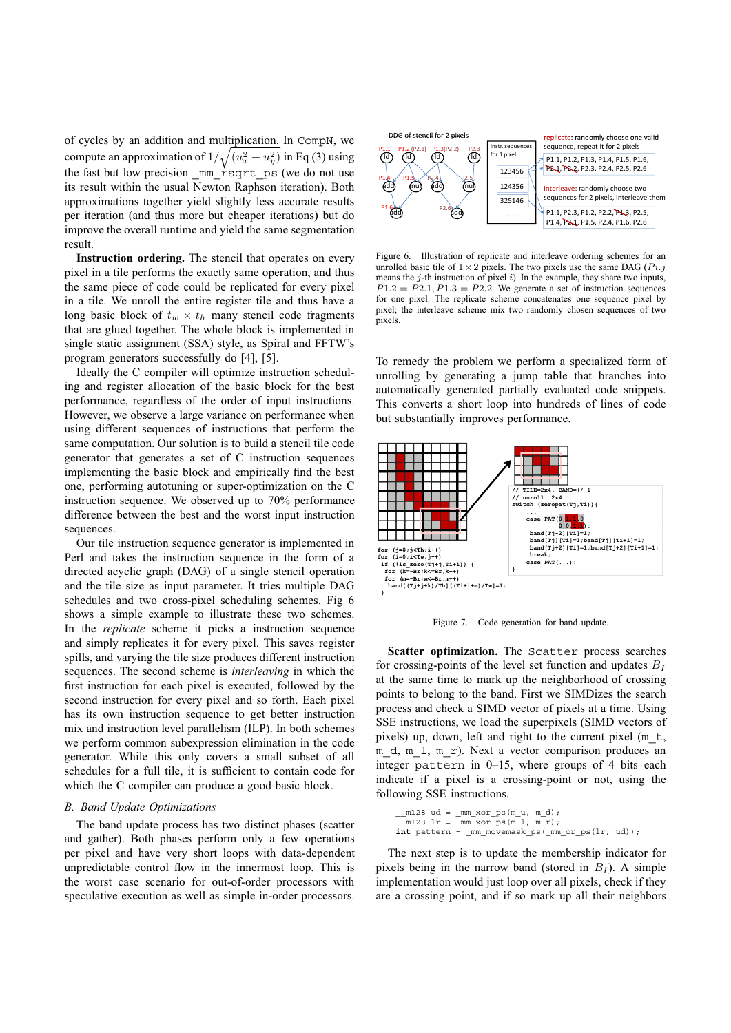of cycles by an addition and multiplication. In CompN, we compute an approximation of  $1/\sqrt{(u_x^2 + u_y^2)}$  in Eq (3) using the fast but low precision \_mm\_rsqrt\_ps (we do not use its result within the usual Newton Raphson iteration). Both approximations together yield slightly less accurate results per iteration (and thus more but cheaper iterations) but do improve the overall runtime and yield the same segmentation result.

**Instruction ordering.** The stencil that operates on every pixel in a tile performs the exactly same operation, and thus the same piece of code could be replicated for every pixel in a tile. We unroll the entire register tile and thus have a long basic block of  $t_w \times t_h$  many stencil code fragments that are glued together. The whole block is implemented in single static assignment (SSA) style, as Spiral and FFTW's program generators successfully do [4], [5].

Ideally the C compiler will optimize instruction scheduling and register allocation of the basic block for the best performance, regardless of the order of input instructions. However, we observe a large variance on performance when using different sequences of instructions that perform the same computation. Our solution is to build a stencil tile code generator that generates a set of C instruction sequences implementing the basic block and empirically find the best one, performing autotuning or super-optimization on the C instruction sequence. We observed up to 70% performance difference between the best and the worst input instruction sequences.

Our tile instruction sequence generator is implemented in Perl and takes the instruction sequence in the form of a directed acyclic graph (DAG) of a single stencil operation and the tile size as input parameter. It tries multiple DAG schedules and two cross-pixel scheduling schemes. Fig 6 shows a simple example to illustrate these two schemes. In the *replicate* scheme it picks a instruction sequence and simply replicates it for every pixel. This saves register spills, and varying the tile size produces different instruction sequences. The second scheme is *interleaving* in which the first instruction for each pixel is executed, followed by the second instruction for every pixel and so forth. Each pixel has its own instruction sequence to get better instruction mix and instruction level parallelism (ILP). In both schemes we perform common subexpression elimination in the code generator. While this only covers a small subset of all schedules for a full tile, it is sufficient to contain code for which the C compiler can produce a good basic block.

#### *B. Band Update Optimizations*

The band update process has two distinct phases (scatter and gather). Both phases perform only a few operations per pixel and have very short loops with data-dependent unpredictable control flow in the innermost loop. This is the worst case scenario for out-of-order processors with speculative execution as well as simple in-order processors.



Figure 6. Illustration of replicate and interleave ordering schemes for an unrolled basic tile of  $1 \times 2$  pixels. The two pixels use the same DAG ( $P_i$ .j means the  $j$ -th instruction of pixel  $i$ ). In the example, they share two inputs,  $P1.2 = \overline{P2.1}, P1.3 = \overline{P2.2}$ . We generate a set of instruction sequences for one pixel. The replicate scheme concatenates one sequence pixel by pixel; the interleave scheme mix two randomly chosen sequences of two pixels.

To remedy the problem we perform a specialized form of unrolling by generating a jump table that branches into automatically generated partially evaluated code snippets. This converts a short loop into hundreds of lines of code but substantially improves performance.



Figure 7. Code generation for band update.

**Scatter optimization.** The Scatter process searches for crossing-points of the level set function and updates  $B_I$ at the same time to mark up the neighborhood of crossing points to belong to the band. First we SIMDizes the search process and check a SIMD vector of pixels at a time. Using SSE instructions, we load the superpixels (SIMD vectors of pixels) up, down, left and right to the current pixel (m\_t, m d, m 1, m r). Next a vector comparison produces an integer pattern in 0–15, where groups of 4 bits each indicate if a pixel is a crossing-point or not, using the following SSE instructions.

```
m128 ud = mm\_xor_ps(m_u, m_d);__m128 lr = _mm_xor_ps(m_l, m_r);
int pattern = _mm_movemask_ps(_mm_or_ps(lr, ud));
```
The next step is to update the membership indicator for pixels being in the narrow band (stored in  $B<sub>I</sub>$ ). A simple implementation would just loop over all pixels, check if they are a crossing point, and if so mark up all their neighbors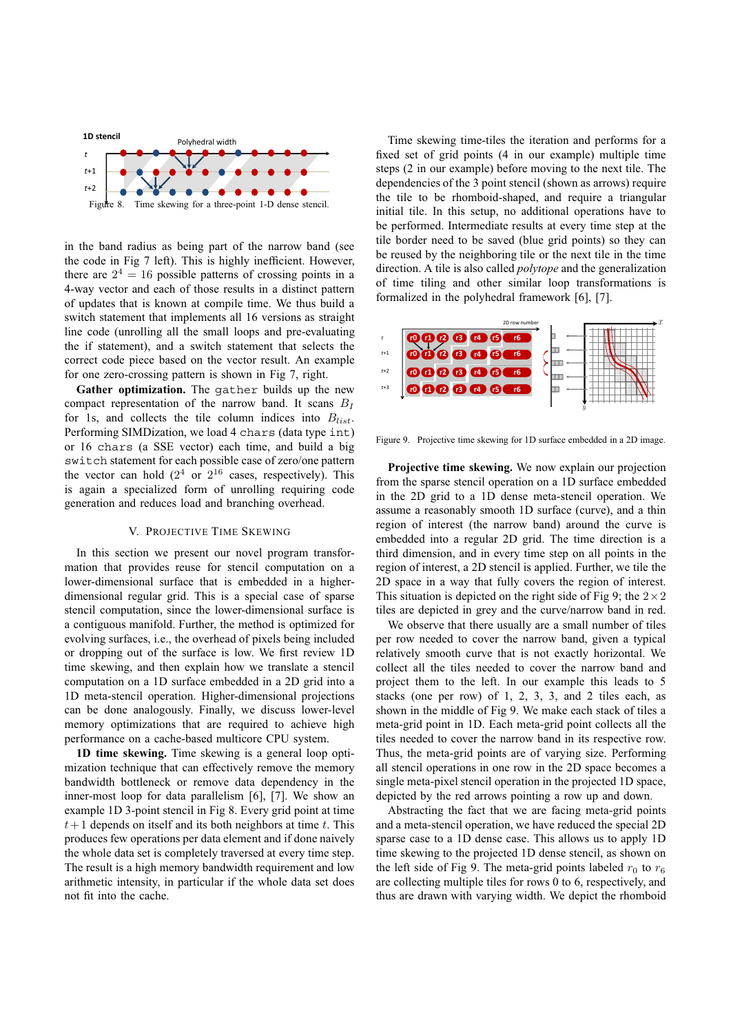

in the band radius as being part of the narrow band (see the code in Fig 7 left). This is highly inefficient. However, there are  $2^4 = 16$  possible patterns of crossing points in a 4-way vector and each of those results in a distinct pattern of updates that is known at compile time. We thus build a switch statement that implements all 16 versions as straight line code (unrolling all the small loops and pre-evaluating the if statement), and a switch statement that selects the correct code piece based on the vector result. An example for one zero-crossing pattern is shown in Fig 7, right.

**Gather optimization.** The gather builds up the new compact representation of the narrow band. It scans  $B_I$ for 1s, and collects the tile column indices into  $B_{list}$ . Performing SIMDization, we load 4 chars (data type int) or 16 chars (a SSE vector) each time, and build a big switch statement for each possible case of zero/one pattern the vector can hold  $(2^4 \text{ or } 2^{16} \text{ cases, respectively})$ . This is again a specialized form of unrolling requiring code generation and reduces load and branching overhead.

# V. PROJECTIVE TIME SKEWING

In this section we present our novel program transformation that provides reuse for stencil computation on a lower-dimensional surface that is embedded in a higherdimensional regular grid. This is a special case of sparse stencil computation, since the lower-dimensional surface is a contiguous manifold. Further, the method is optimized for evolving surfaces, i.e., the overhead of pixels being included or dropping out of the surface is low. We first review 1D time skewing, and then explain how we translate a stencil computation on a 1D surface embedded in a 2D grid into a 1D meta-stencil operation. Higher-dimensional projections can be done analogously. Finally, we discuss lower-level memory optimizations that are required to achieve high performance on a cache-based multicore CPU system.

**1D time skewing.** Time skewing is a general loop optimization technique that can effectively remove the memory bandwidth bottleneck or remove data dependency in the inner-most loop for data parallelism [6], [7]. We show an example 1D 3-point stencil in Fig 8. Every grid point at time  $t+1$  depends on itself and its both neighbors at time t. This produces few operations per data element and if done naively the whole data set is completely traversed at every time step. The result is a high memory bandwidth requirement and low arithmetic intensity, in particular if the whole data set does not fit into the cache.

Time skewing time-tiles the iteration and performs for a fixed set of grid points (4 in our example) multiple time steps (2 in our example) before moving to the next tile. The dependencies of the 3 point stencil (shown as arrows) require the tile to be rhomboid-shaped, and require a triangular initial tile. In this setup, no additional operations have to be performed. Intermediate results at every time step at the tile border need to be saved (blue grid points) so they can be reused by the neighboring tile or the next tile in the time direction. A tile is also called *polytope* and the generalization of time tiling and other similar loop transformations is formalized in the polyhedral framework [6], [7].



Figure 9. Projective time skewing for 1D surface embedded in a 2D image.

**Projective time skewing.** We now explain our projection from the sparse stencil operation on a 1D surface embedded in the 2D grid to a 1D dense meta-stencil operation. We assume a reasonably smooth 1D surface (curve), and a thin region of interest (the narrow band) around the curve is embedded into a regular 2D grid. The time direction is a third dimension, and in every time step on all points in the region of interest, a 2D stencil is applied. Further, we tile the 2D space in a way that fully covers the region of interest. This situation is depicted on the right side of Fig 9; the  $2 \times 2$ tiles are depicted in grey and the curve/narrow band in red.

We observe that there usually are a small number of tiles per row needed to cover the narrow band, given a typical relatively smooth curve that is not exactly horizontal. We collect all the tiles needed to cover the narrow band and project them to the left. In our example this leads to 5 stacks (one per row) of 1, 2, 3, 3, and 2 tiles each, as shown in the middle of Fig 9. We make each stack of tiles a meta-grid point in 1D. Each meta-grid point collects all the tiles needed to cover the narrow band in its respective row. Thus, the meta-grid points are of varying size. Performing all stencil operations in one row in the 2D space becomes a single meta-pixel stencil operation in the projected 1D space, depicted by the red arrows pointing a row up and down.

Abstracting the fact that we are facing meta-grid points and a meta-stencil operation, we have reduced the special 2D sparse case to a 1D dense case. This allows us to apply 1D time skewing to the projected 1D dense stencil, as shown on the left side of Fig 9. The meta-grid points labeled  $r_0$  to  $r_6$ are collecting multiple tiles for rows 0 to 6, respectively, and thus are drawn with varying width. We depict the rhomboid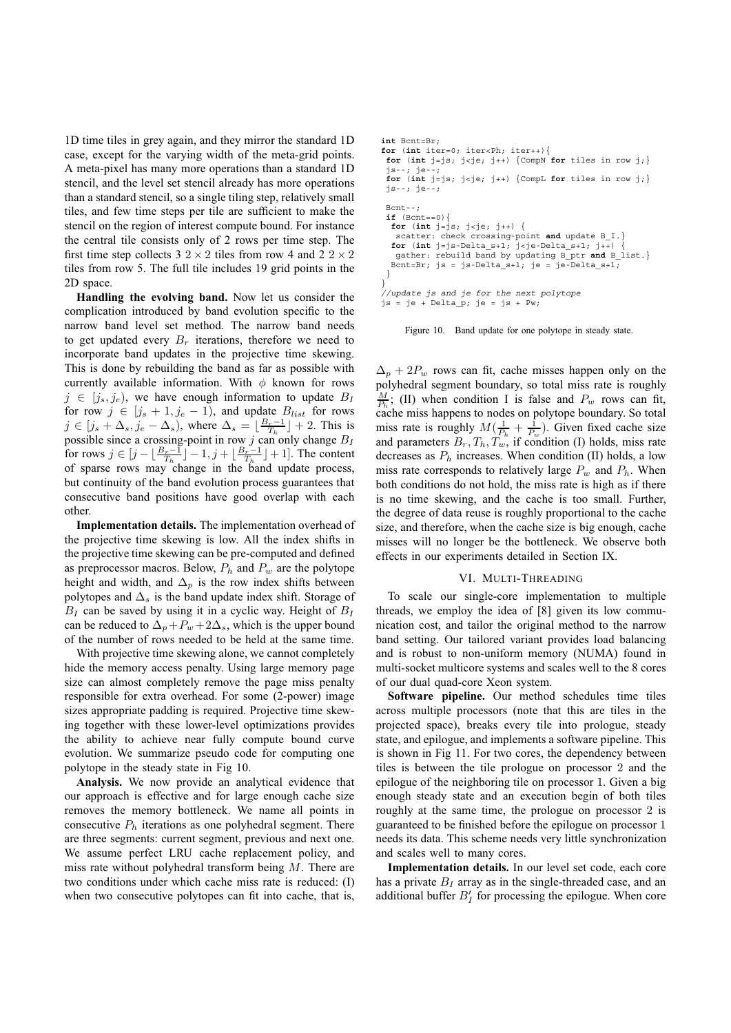1D time tiles in grey again, and they mirror the standard 1D case, except for the varying width of the meta-grid points. A meta-pixel has many more operations than a standard 1D stencil, and the level set stencil already has more operations than a standard stencil, so a single tiling step, relatively small tiles, and few time steps per tile are sufficient to make the stencil on the region of interest compute bound. For instance the central tile consists only of 2 rows per time step. The first time step collects 3  $2 \times 2$  tiles from row 4 and 2  $2 \times 2$ tiles from row 5. The full tile includes 19 grid points in the 2D space.

**Handling the evolving band.** Now let us consider the complication introduced by band evolution specific to the narrow band level set method. The narrow band needs to get updated every  $B_r$  iterations, therefore we need to incorporate band updates in the projective time skewing. This is done by rebuilding the band as far as possible with currently available information. With  $\phi$  known for rows  $j \in [j_s, j_e]$ , we have enough information to update  $B_I$ for row  $j \in [j_s + 1, j_e - 1]$ , and update  $B_{list}$  for rows  $j \in [j_s + \Delta_s, j_e - \Delta_s)$ , where  $\Delta_s = \lfloor \frac{B_r - 1}{T_h} \rfloor + 2$ . This is possible since a crossing-point in row j can only change  $B_I$ for rows  $j \in [j - \lfloor \frac{B_r - 1}{T_h} \rfloor - 1, j + \lfloor \frac{B_r - 1}{T_h} \rfloor + 1]$ . The content of sparse rows may change in the band update process, but continuity of the band evolution process guarantees that consecutive band positions have good overlap with each other.

**Implementation details.** The implementation overhead of the projective time skewing is low. All the index shifts in the projective time skewing can be pre-computed and defined as preprocessor macros. Below,  $P_h$  and  $P_w$  are the polytope height and width, and  $\Delta_p$  is the row index shifts between polytopes and  $\Delta_s$  is the band update index shift. Storage of  $B_I$  can be saved by using it in a cyclic way. Height of  $B_I$ can be reduced to  $\Delta_p + P_w + 2\Delta_s$ , which is the upper bound of the number of rows needed to be held at the same time.

With projective time skewing alone, we cannot completely hide the memory access penalty. Using large memory page size can almost completely remove the page miss penalty responsible for extra overhead. For some (2-power) image sizes appropriate padding is required. Projective time skewing together with these lower-level optimizations provides the ability to achieve near fully compute bound curve evolution. We summarize pseudo code for computing one polytope in the steady state in Fig 10.

**Analysis.** We now provide an analytical evidence that our approach is effective and for large enough cache size removes the memory bottleneck. We name all points in consecutive  $P_h$  iterations as one polyhedral segment. There are three segments: current segment, previous and next one. We assume perfect LRU cache replacement policy, and miss rate without polyhedral transform being  $M$ . There are two conditions under which cache miss rate is reduced: (I) when two consecutive polytopes can fit into cache, that is,

```
int Bcnt=Br;
for (int iter=0; iter<Ph; iter++){
 for (int j=js; j<je; j++) {CompN for tiles in row j;}
 js--; je--;
 for (int j=js; j<je; j++) {CompL for tiles in row j;}
 js--; je--;
 Bcnt--;
 if (Bcnt==0){
  for (int j=js; j<je; j++) {
   scatter: check crossing-point and update B_I.}
  for (int j=js-Delta_s+1; j<j=e-Delta_s+1; j++) {<br>gather: rebuild band by updating B_{p}tr and B_{p}list.}
  Bcnt=Br; js = js-Delta_s+1; je = je-Delta_s+1;
 }
}
//update js and je for the next polytope
js = je + Delta_p; je = js + Pw;
```
Figure 10. Band update for one polytope in steady state.

 $\Delta_p + 2P_w$  rows can fit, cache misses happen only on the polyhedral segment boundary, so total miss rate is roughly  $\frac{M}{P_h}$ ; (II) when condition I is false and  $P_w$  rows can fit, cache miss happens to nodes on polytope boundary. So total miss rate is roughly  $M(\frac{1}{P_h} + \frac{1}{P_w})$ . Given fixed cache size and parameters  $B_r, T_h, T_w$ , if condition (I) holds, miss rate decreases as  $P_h$  increases. When condition (II) holds, a low miss rate corresponds to relatively large  $P_w$  and  $P_h$ . When both conditions do not hold, the miss rate is high as if there is no time skewing, and the cache is too small. Further, the degree of data reuse is roughly proportional to the cache size, and therefore, when the cache size is big enough, cache misses will no longer be the bottleneck. We observe both effects in our experiments detailed in Section IX.

#### VI. MULTI-THREADING

To scale our single-core implementation to multiple threads, we employ the idea of [8] given its low communication cost, and tailor the original method to the narrow band setting. Our tailored variant provides load balancing and is robust to non-uniform memory (NUMA) found in multi-socket multicore systems and scales well to the 8 cores of our dual quad-core Xeon system.

**Software pipeline.** Our method schedules time tiles across multiple processors (note that this are tiles in the projected space), breaks every tile into prologue, steady state, and epilogue, and implements a software pipeline. This is shown in Fig 11. For two cores, the dependency between tiles is between the tile prologue on processor 2 and the epilogue of the neighboring tile on processor 1. Given a big enough steady state and an execution begin of both tiles roughly at the same time, the prologue on processor 2 is guaranteed to be finished before the epilogue on processor 1 needs its data. This scheme needs very little synchronization and scales well to many cores.

**Implementation details.** In our level set code, each core has a private  $B_I$  array as in the single-threaded case, and an additional buffer  $B_I'$  for processing the epilogue. When core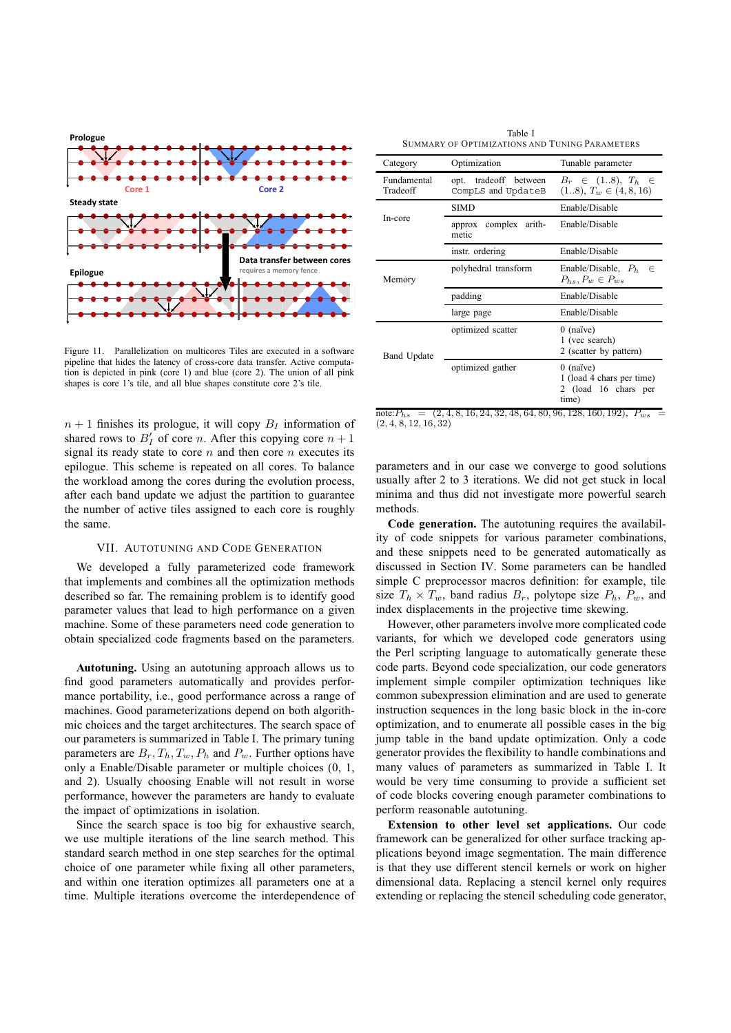

Figure 11. Parallelization on multicores Tiles are executed in a software pipeline that hides the latency of cross-core data transfer. Active computation is depicted in pink (core 1) and blue (core 2). The union of all pink shapes is core 1's tile, and all blue shapes constitute core 2's tile.

 $n + 1$  finishes its prologue, it will copy  $B_I$  information of shared rows to  $B_I'$  of core n. After this copying core  $n+1$ signal its ready state to core  $n$  and then core  $n$  executes its epilogue. This scheme is repeated on all cores. To balance the workload among the cores during the evolution process, after each band update we adjust the partition to guarantee the number of active tiles assigned to each core is roughly the same.

## VII. AUTOTUNING AND CODE GENERATION

We developed a fully parameterized code framework that implements and combines all the optimization methods described so far. The remaining problem is to identify good parameter values that lead to high performance on a given machine. Some of these parameters need code generation to obtain specialized code fragments based on the parameters.

**Autotuning.** Using an autotuning approach allows us to find good parameters automatically and provides performance portability, i.e., good performance across a range of machines. Good parameterizations depend on both algorithmic choices and the target architectures. The search space of our parameters is summarized in Table I. The primary tuning parameters are  $B_r$ ,  $T_h$ ,  $T_w$ ,  $P_h$  and  $P_w$ . Further options have only a Enable/Disable parameter or multiple choices (0, 1, and 2). Usually choosing Enable will not result in worse performance, however the parameters are handy to evaluate the impact of optimizations in isolation.

Since the search space is too big for exhaustive search, we use multiple iterations of the line search method. This standard search method in one step searches for the optimal choice of one parameter while fixing all other parameters, and within one iteration optimizes all parameters one at a time. Multiple iterations overcome the interdependence of

Table I SUMMARY OF OPTIMIZATIONS AND TUNING PARAMETERS

| Category                | Optimization                                   | Tunable parameter                                                         |
|-------------------------|------------------------------------------------|---------------------------------------------------------------------------|
| Fundamental<br>Tradeoff | tradeoff between<br>opt.<br>CompLS and UpdateB | $B_r \in (18), T_h \in$<br>$(18), T_w \in (4, 8, 16)$                     |
| In-core                 | SIMD                                           | Enable/Disable                                                            |
|                         | approx complex<br>arith-<br>metic              | Enable/Disable                                                            |
|                         | instr. ordering                                | Enable/Disable                                                            |
| Memory                  | polyhedral transform                           | Enable/Disable, $P_h$<br>$\epsilon$<br>$P_{hs}$ , $P_w \in P_{ws}$        |
|                         | padding                                        | Enable/Disable                                                            |
|                         | large page                                     | Enable/Disable                                                            |
| <b>Band Update</b>      | optimized scatter                              | $0$ (naïve)<br>1 (vec search)<br>2 (scatter by pattern)                   |
|                         | optimized gather                               | $0$ (naïve)<br>1 (load 4 chars per time)<br>2 (load 16 chars per<br>time) |

note:  $P_{h_8} = (2, 4, 8, 16, 24, 32, 48, 64, 80, 96, 128, 160, 192), P_{ws}$  $(2, 4, 8, 12, 16, 32)$ 

parameters and in our case we converge to good solutions usually after 2 to 3 iterations. We did not get stuck in local minima and thus did not investigate more powerful search methods.

**Code generation.** The autotuning requires the availability of code snippets for various parameter combinations, and these snippets need to be generated automatically as discussed in Section IV. Some parameters can be handled simple C preprocessor macros definition: for example, tile size  $T_h \times T_w$ , band radius  $B_r$ , polytope size  $P_h$ ,  $P_w$ , and index displacements in the projective time skewing.

However, other parameters involve more complicated code variants, for which we developed code generators using the Perl scripting language to automatically generate these code parts. Beyond code specialization, our code generators implement simple compiler optimization techniques like common subexpression elimination and are used to generate instruction sequences in the long basic block in the in-core optimization, and to enumerate all possible cases in the big jump table in the band update optimization. Only a code generator provides the flexibility to handle combinations and many values of parameters as summarized in Table I. It would be very time consuming to provide a sufficient set of code blocks covering enough parameter combinations to perform reasonable autotuning.

**Extension to other level set applications.** Our code framework can be generalized for other surface tracking applications beyond image segmentation. The main difference is that they use different stencil kernels or work on higher dimensional data. Replacing a stencil kernel only requires extending or replacing the stencil scheduling code generator,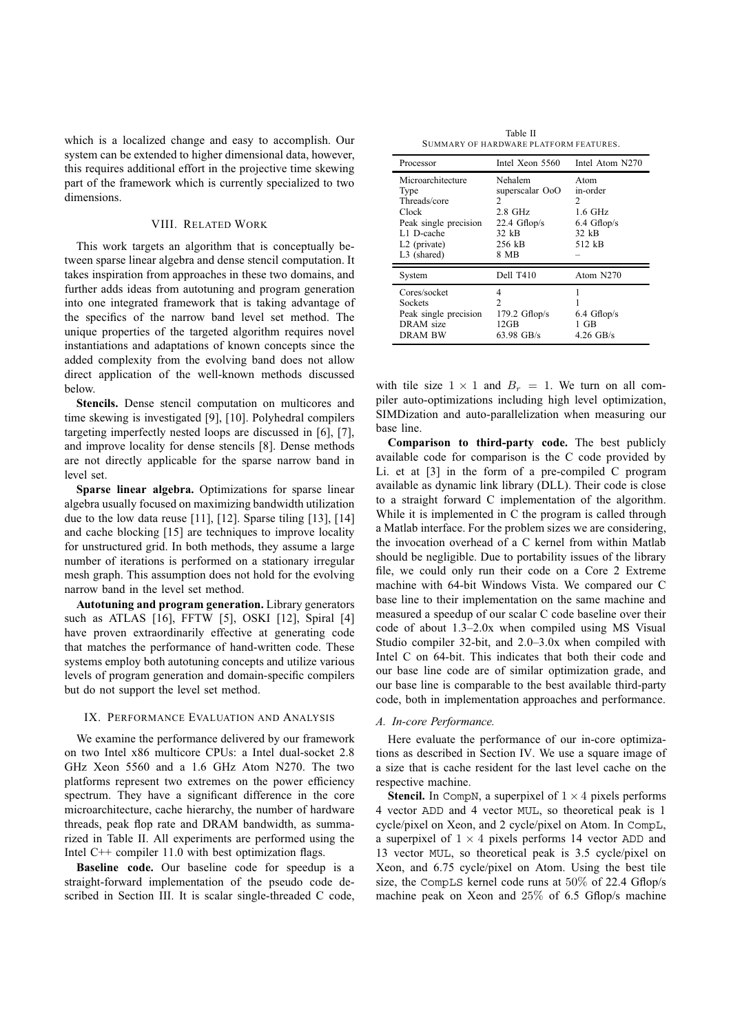which is a localized change and easy to accomplish. Our system can be extended to higher dimensional data, however, this requires additional effort in the projective time skewing part of the framework which is currently specialized to two dimensions.

# VIII. RELATED WORK

This work targets an algorithm that is conceptually between sparse linear algebra and dense stencil computation. It takes inspiration from approaches in these two domains, and further adds ideas from autotuning and program generation into one integrated framework that is taking advantage of the specifics of the narrow band level set method. The unique properties of the targeted algorithm requires novel instantiations and adaptations of known concepts since the added complexity from the evolving band does not allow direct application of the well-known methods discussed below.

**Stencils.** Dense stencil computation on multicores and time skewing is investigated [9], [10]. Polyhedral compilers targeting imperfectly nested loops are discussed in [6], [7], and improve locality for dense stencils [8]. Dense methods are not directly applicable for the sparse narrow band in level set.

**Sparse linear algebra.** Optimizations for sparse linear algebra usually focused on maximizing bandwidth utilization due to the low data reuse [11], [12]. Sparse tiling [13], [14] and cache blocking [15] are techniques to improve locality for unstructured grid. In both methods, they assume a large number of iterations is performed on a stationary irregular mesh graph. This assumption does not hold for the evolving narrow band in the level set method.

**Autotuning and program generation.** Library generators such as ATLAS [16], FFTW [5], OSKI [12], Spiral [4] have proven extraordinarily effective at generating code that matches the performance of hand-written code. These systems employ both autotuning concepts and utilize various levels of program generation and domain-specific compilers but do not support the level set method.

# IX. PERFORMANCE EVALUATION AND ANALYSIS

We examine the performance delivered by our framework on two Intel x86 multicore CPUs: a Intel dual-socket 2.8 GHz Xeon 5560 and a 1.6 GHz Atom N270. The two platforms represent two extremes on the power efficiency spectrum. They have a significant difference in the core microarchitecture, cache hierarchy, the number of hardware threads, peak flop rate and DRAM bandwidth, as summarized in Table II. All experiments are performed using the Intel C++ compiler 11.0 with best optimization flags.

**Baseline code.** Our baseline code for speedup is a straight-forward implementation of the pseudo code described in Section III. It is scalar single-threaded C code,

Table II SUMMARY OF HARDWARE PLATFORM FEATURES.

| Processor                                                                                                                                        | Intel Xeon 5560                                                                                   | Intel Atom N270                                                                              |
|--------------------------------------------------------------------------------------------------------------------------------------------------|---------------------------------------------------------------------------------------------------|----------------------------------------------------------------------------------------------|
| Microarchitecture<br>Type<br>Threads/core<br>Clock<br>Peak single precision<br>L1 D-cache<br>L <sub>2</sub> (private)<br>L <sub>3</sub> (shared) | Nehalem<br>superscalar OoO<br>2<br>$2.8$ GHz<br>$22.4 \text{ Gflop/s}$<br>32 kB<br>256 kB<br>8 MB | Atom<br>in-order<br>$\mathcal{L}$<br>$1.6$ GHz<br>$6.4 \text{ Gflop/s}$<br>$32$ kB<br>512 kB |
| System                                                                                                                                           | Dell T410                                                                                         | Atom N270                                                                                    |
| Cores/socket<br><b>Sockets</b><br>Peak single precision<br>DRAM size<br>DRAM BW                                                                  | 4<br>$\mathfrak{D}$<br>$179.2 \text{ Gflop/s}$<br>12GB<br>63.98 GB/s                              | $6.4 \text{ Gflop/s}$<br>1 GB<br>$4.26$ GB/s                                                 |

with tile size  $1 \times 1$  and  $B<sub>r</sub> = 1$ . We turn on all compiler auto-optimizations including high level optimization, SIMDization and auto-parallelization when measuring our base line.

**Comparison to third-party code.** The best publicly available code for comparison is the C code provided by Li. et at [3] in the form of a pre-compiled C program available as dynamic link library (DLL). Their code is close to a straight forward C implementation of the algorithm. While it is implemented in C the program is called through a Matlab interface. For the problem sizes we are considering, the invocation overhead of a C kernel from within Matlab should be negligible. Due to portability issues of the library file, we could only run their code on a Core 2 Extreme machine with 64-bit Windows Vista. We compared our C base line to their implementation on the same machine and measured a speedup of our scalar C code baseline over their code of about 1.3–2.0x when compiled using MS Visual Studio compiler 32-bit, and 2.0–3.0x when compiled with Intel C on 64-bit. This indicates that both their code and our base line code are of similar optimization grade, and our base line is comparable to the best available third-party code, both in implementation approaches and performance.

# *A. In-core Performance.*

Here evaluate the performance of our in-core optimizations as described in Section IV. We use a square image of a size that is cache resident for the last level cache on the respective machine.

**Stencil.** In CompN, a superpixel of  $1 \times 4$  pixels performs 4 vector ADD and 4 vector MUL, so theoretical peak is 1 cycle/pixel on Xeon, and 2 cycle/pixel on Atom. In CompL, a superpixel of  $1 \times 4$  pixels performs 14 vector ADD and 13 vector MUL, so theoretical peak is 3.5 cycle/pixel on Xeon, and 6.75 cycle/pixel on Atom. Using the best tile size, the CompLS kernel code runs at 50% of 22.4 Gflop/s machine peak on Xeon and 25% of 6.5 Gflop/s machine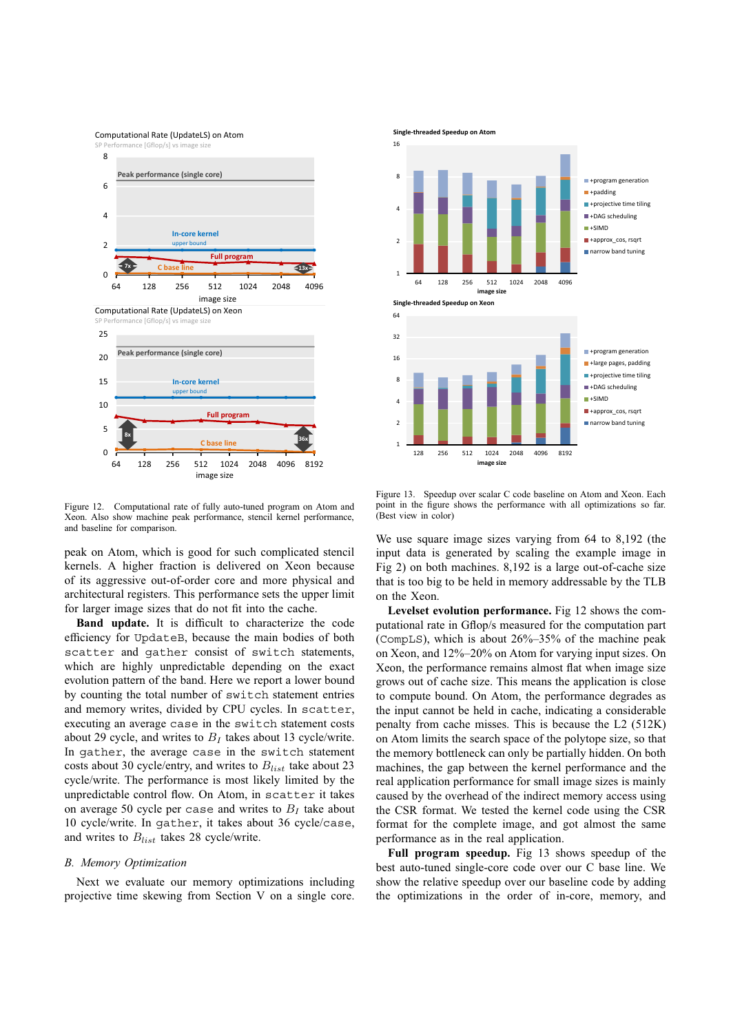

Figure 12. Computational rate of fully auto-tuned program on Atom and Xeon. Also show machine peak performance, stencil kernel performance, and baseline for comparison.

peak on Atom, which is good for such complicated stencil kernels. A higher fraction is delivered on Xeon because of its aggressive out-of-order core and more physical and architectural registers. This performance sets the upper limit for larger image sizes that do not fit into the cache.

**Band update.** It is difficult to characterize the code efficiency for UpdateB, because the main bodies of both scatter and gather consist of switch statements, which are highly unpredictable depending on the exact evolution pattern of the band. Here we report a lower bound by counting the total number of switch statement entries and memory writes, divided by CPU cycles. In scatter, executing an average case in the switch statement costs about 29 cycle, and writes to  $B_I$  takes about 13 cycle/write. In gather, the average case in the switch statement costs about 30 cycle/entry, and writes to  $B_{list}$  take about 23 cycle/write. The performance is most likely limited by the unpredictable control flow. On Atom, in scatter it takes on average 50 cycle per case and writes to  $B_I$  take about 10 cycle/write. In gather, it takes about 36 cycle/case, and writes to  $B_{list}$  takes 28 cycle/write.

#### *B. Memory Optimization*

Next we evaluate our memory optimizations including projective time skewing from Section V on a single core.



Figure 13. Speedup over scalar C code baseline on Atom and Xeon. Each point in the figure shows the performance with all optimizations so far. (Best view in color)

We use square image sizes varying from 64 to 8,192 (the input data is generated by scaling the example image in Fig 2) on both machines. 8,192 is a large out-of-cache size that is too big to be held in memory addressable by the TLB on the Xeon.

**Levelset evolution performance.** Fig 12 shows the computational rate in Gflop/s measured for the computation part (CompLS), which is about  $26\% - 35\%$  of the machine peak on Xeon, and 12%–20% on Atom for varying input sizes. On Xeon, the performance remains almost flat when image size grows out of cache size. This means the application is close to compute bound. On Atom, the performance degrades as the input cannot be held in cache, indicating a considerable penalty from cache misses. This is because the L2 (512K) on Atom limits the search space of the polytope size, so that the memory bottleneck can only be partially hidden. On both machines, the gap between the kernel performance and the real application performance for small image sizes is mainly caused by the overhead of the indirect memory access using the CSR format. We tested the kernel code using the CSR format for the complete image, and got almost the same performance as in the real application.

**Full program speedup.** Fig 13 shows speedup of the best auto-tuned single-core code over our C base line. We show the relative speedup over our baseline code by adding the optimizations in the order of in-core, memory, and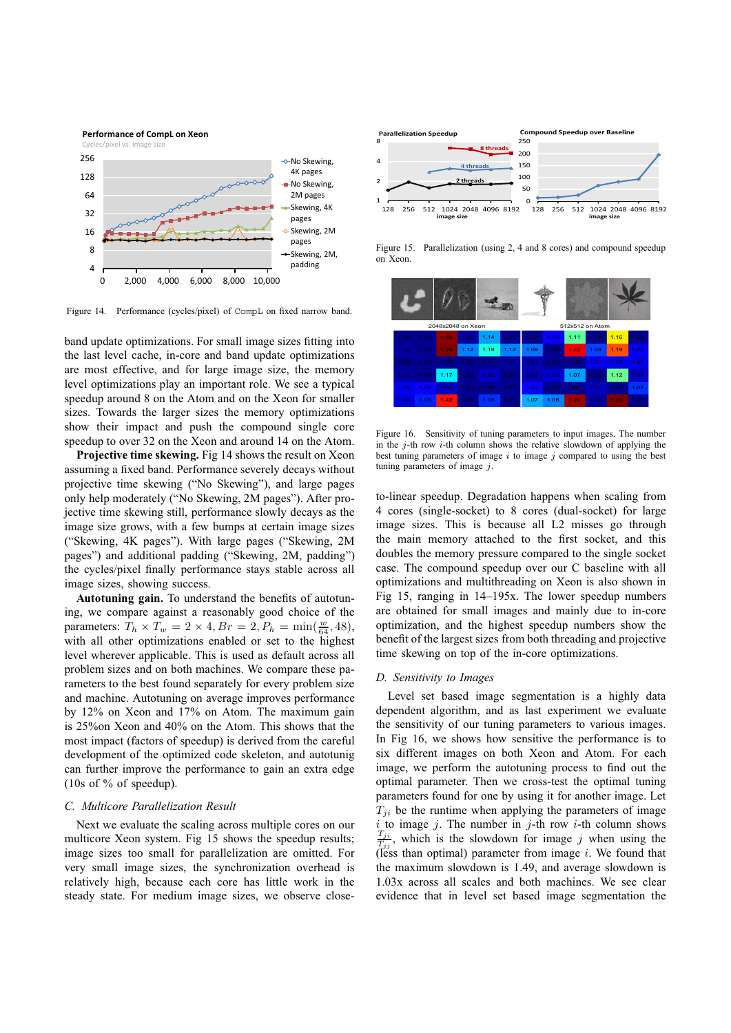

Figure 14. Performance (cycles/pixel) of CompL on fixed narrow band.

band update optimizations. For small image sizes fitting into the last level cache, in-core and band update optimizations are most effective, and for large image size, the memory level optimizations play an important role. We see a typical speedup around 8 on the Atom and on the Xeon for smaller sizes. Towards the larger sizes the memory optimizations show their impact and push the compound single core speedup to over 32 on the Xeon and around 14 on the Atom.

**Projective time skewing.** Fig 14 shows the result on Xeon assuming a fixed band. Performance severely decays without projective time skewing ("No Skewing"), and large pages only help moderately ("No Skewing, 2M pages"). After projective time skewing still, performance slowly decays as the image size grows, with a few bumps at certain image sizes ("Skewing, 4K pages"). With large pages ("Skewing, 2M pages") and additional padding ("Skewing, 2M, padding") the cycles/pixel finally performance stays stable across all image sizes, showing success.

**Autotuning gain.** To understand the benefits of autotuning, we compare against a reasonably good choice of the parameters:  $T_h \times T_w = 2 \times 4$ ,  $Br = 2$ ,  $P_h = \min(\frac{w}{64}, 48)$ , with all other optimizations enabled or set to the highest level wherever applicable. This is used as default across all problem sizes and on both machines. We compare these parameters to the best found separately for every problem size and machine. Autotuning on average improves performance by 12% on Xeon and 17% on Atom. The maximum gain is 25%on Xeon and 40% on the Atom. This shows that the most impact (factors of speedup) is derived from the careful development of the optimized code skeleton, and autotunig can further improve the performance to gain an extra edge (10s of  $%$  of speedup).

#### *C. Multicore Parallelization Result*

Next we evaluate the scaling across multiple cores on our multicore Xeon system. Fig 15 shows the speedup results; image sizes too small for parallelization are omitted. For very small image sizes, the synchronization overhead is relatively high, because each core has little work in the steady state. For medium image sizes, we observe close-



Figure 15. Parallelization (using 2, 4 and 8 cores) and compound speedup on Xeon.



Figure 16. Sensitivity of tuning parameters to input images. The number in the *i*-th row *i*-th column shows the relative slowdown of applying the best tuning parameters of image  $i$  to image  $j$  compared to using the best tuning parameters of image j.

to-linear speedup. Degradation happens when scaling from 4 cores (single-socket) to 8 cores (dual-socket) for large image sizes. This is because all L2 misses go through the main memory attached to the first socket, and this doubles the memory pressure compared to the single socket case. The compound speedup over our C baseline with all optimizations and multithreading on Xeon is also shown in Fig 15, ranging in 14–195x. The lower speedup numbers are obtained for small images and mainly due to in-core optimization, and the highest speedup numbers show the benefit of the largest sizes from both threading and projective time skewing on top of the in-core optimizations.

# *D. Sensitivity to Images*

Level set based image segmentation is a highly data dependent algorithm, and as last experiment we evaluate the sensitivity of our tuning parameters to various images. In Fig 16, we shows how sensitive the performance is to six different images on both Xeon and Atom. For each image, we perform the autotuning process to find out the optimal parameter. Then we cross-test the optimal tuning parameters found for one by using it for another image. Let  $T_{ji}$  be the runtime when applying the parameters of image  $i$  to image j. The number in j-th row  $i$ -th column shows  $\frac{T_{ji}}{T_{jj}}$ , which is the slowdown for image j when using the (less than optimal) parameter from image  $i$ . We found that the maximum slowdown is 1.49, and average slowdown is 1.03x across all scales and both machines. We see clear evidence that in level set based image segmentation the